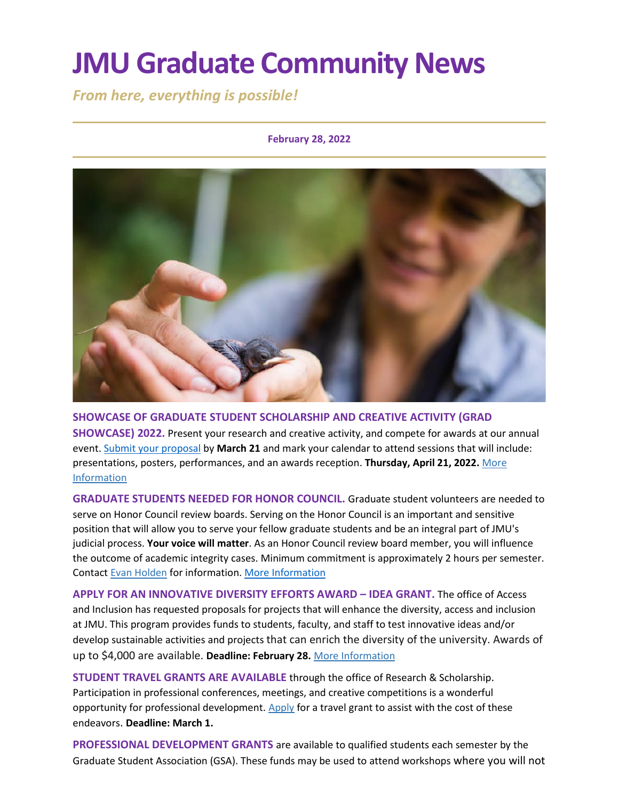# **JMU Graduate Community News**

*From here, everything is possible!*

#### **February 28, 2022**



**SHOWCASE OF GRADUATE STUDENT SCHOLARSHIP AND CREATIVE ACTIVITY (GRAD SHOWCASE) 2022.** Present your research and creative activity, and compete for awards at our annual event[. Submit your proposal](https://www.jmu.edu/grad/GraduateShowcase/proposals-wanted.shtml) by **March 21** and mark your calendar to attend sessions that will include: presentations, posters, performances, and an awards reception. **Thursday, April 21, 2022.** [More](https://www.jmu.edu/grad/GraduateShowcase/index.shtml)  [Information](https://www.jmu.edu/grad/GraduateShowcase/index.shtml)

**GRADUATE STUDENTS NEEDED FOR HONOR COUNCIL.** Graduate student volunteers are needed to serve on Honor Council review boards. Serving on the Honor Council is an important and sensitive position that will allow you to serve your fellow graduate students and be an integral part of JMU's judicial process. **Your voice will matter**. As an Honor Council review board member, you will influence the outcome of academic integrity cases. Minimum commitment is approximately 2 hours per semester. Contact [Evan Holden](mailto:holdened@dukes.jmu.edu) for information[. More Information](https://www.jmu.edu/honorcode/index.shtml)

**APPLY FOR AN INNOVATIVE DIVERSITY EFFORTS AWARD – IDEA GRANT.** The office of Access and Inclusion has requested proposals for projects that will enhance the diversity, access and inclusion at JMU. This program provides funds to students, faculty, and staff to test innovative ideas and/or develop sustainable activities and projects that can enrich the diversity of the university. Awards of up to \$4,000 are available. **Deadline: February 28.** More [Information](https://www.jmu.edu/diversity/programs-and-events/Grants-Awards.shtml)

**STUDENT TRAVEL GRANTS ARE AVAILABLE** through the office of Research & Scholarship. Participation in professional conferences, meetings, and creative competitions is a wonderful opportunity for professional development. [Apply](https://www.jmu.edu/research/grants/index.shtml) for a travel grant to assist with the cost of these endeavors. **Deadline: March 1.**

**PROFESSIONAL DEVELOPMENT GRANTS** are available to qualified students each semester by the Graduate Student Association (GSA). These funds may be used to attend workshops where you will not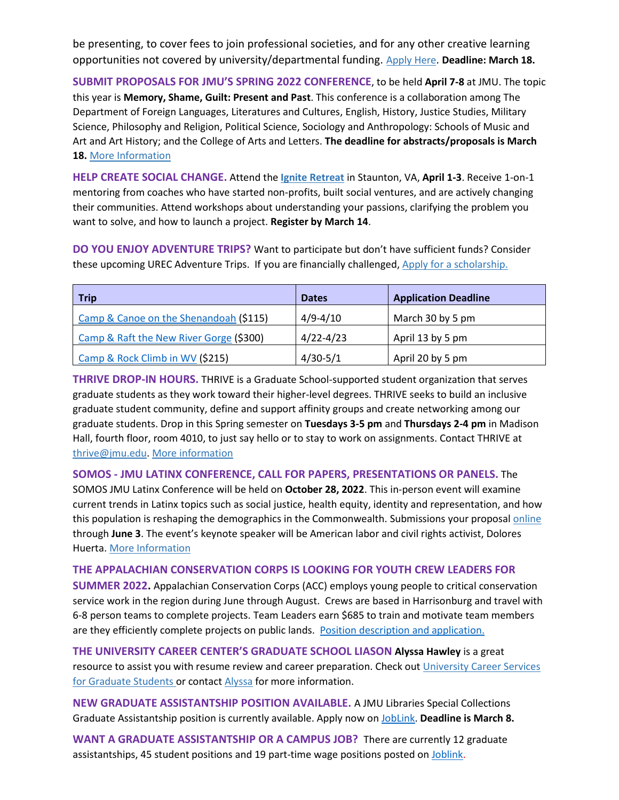be presenting, to cover fees to join professional societies, and for any other creative learning opportunities not covered by university/departmental funding. [Apply Here](https://docs.google.com/forms/d/e/1FAIpQLScyE4SVe00e7lzZfgIMKxrTPxi5nTSKgaH8DhXuCr1UQulMlQ/viewform). **Deadline: March 18.**

**SUBMIT PROPOSALS FOR JMU'S SPRING 2022 CONFERENCE**, to be held **April 7-8** at JMU. The topic this year is **Memory, Shame, Guilt: Present and Past**. This conference is a collaboration among The Department of Foreign Languages, Literatures and Cultures, English, History, Justice Studies, Military Science, Philosophy and Religion, Political Science, Sociology and Anthropology: Schools of Music and Art and Art History; and the College of Arts and Letters. **The deadline for abstracts/proposals is March 18.** [More Information](https://www.jmu.edu/forlang/conferenceFLLC/call.shtml)

**HELP CREATE SOCIAL CHANGE.** Attend the **[Ignite Retreat](https://sullivanfdn.org/ignite/)** in Staunton, VA, **April 1-3**. Receive 1-on-1 mentoring from coaches who have started non-profits, built social ventures, and are actively changing their communities. Attend workshops about understanding your passions, clarifying the problem you want to solve, and how to launch a project. **Register by March 14**.

**DO YOU ENJOY ADVENTURE TRIPS?** Want to participate but don't have sufficient funds? Consider these upcoming UREC Adventure Trips. If you are financially challenged, [Apply for a scholarship.](https://jmu.co1.qualtrics.com/jfe/form/SV_eyTeRHEeEybn1qe)

| <b>Trip</b>                             | <b>Dates</b>  | <b>Application Deadline</b> |
|-----------------------------------------|---------------|-----------------------------|
| Camp & Canoe on the Shenandoah (\$115)  | $4/9 - 4/10$  | March 30 by 5 pm            |
| Camp & Raft the New River Gorge (\$300) | $4/22 - 4/23$ | April 13 by 5 pm            |
| Camp & Rock Climb in WV (\$215)         | $4/30-5/1$    | April 20 by 5 pm            |

**THRIVE DROP-IN HOURS.** THRIVE is a Graduate School-supported student organization that serves graduate students as they work toward their higher-level degrees. THRIVE seeks to build an inclusive graduate student community, define and support affinity groups and create networking among our graduate students. Drop in this Spring semester on **Tuesdays 3-5 pm** and **Thursdays 2-4 pm** in Madison Hall, fourth floor, room 4010, to just say hello or to stay to work on assignments. Contact THRIVE at [thrive@jmu.edu.](mailto:thrive@jmu.edu) [More information](https://www.jmu.edu/grad/THRIVE/index.shtml)

**SOMOS - JMU LATINX CONFERENCE, CALL FOR PAPERS, PRESENTATIONS OR PANELS.** The SOMOS JMU Latinx Conference will be held on **October 28, 2022**. This in-person event will examine current trends in Latinx topics such as social justice, health equity, identity and representation, and how this population is reshaping the demographics in the Commonwealth. Submissions your proposa[l online](https://jmu.questionpro.com/a/TakeSurvey?tt=RQT9D2pvClY%3D) through **June 3**. The event's keynote speaker will be American labor and civil rights activist, Dolores Huerta. [More Information](https://www.jmu.edu/cal/diversity/initiatives.shtml)

#### **THE APPALACHIAN CONSERVATION CORPS IS LOOKING FOR YOUTH CREW LEADERS FOR**

**SUMMER 2022.** Appalachian Conservation Corps (ACC) employs young people to critical conservation service work in the region during June through August. Crews are based in Harrisonburg and travel with 6-8 person teams to complete projects. Team Leaders earn \$685 to train and motivate team members are they efficiently complete projects on public lands. [Position description and application.](https://jobs.silkroad.com/ConservationLegacy/Careers/jobs/3226) 

**THE UNIVERSITY CAREER CENTER'S GRADUATE SCHOOL LIASON Alyssa Hawley** is a great resource to assist you with resume review and career preparation. Check out [University Career Services](https://www.jmu.edu/career/students/gradstudents/index.shtml) for Graduate Students or contact [Alyssa](mailto:adamsar@jmu.edu) for more information.

**NEW GRADUATE ASSISTANTSHIP POSITION AVAILABLE.** A JMU Libraries Special Collections Graduate Assistantship position is currently available. Apply now o[n JobLink.](https://joblink.jmu.edu/postings/11328) **Deadline is March 8.**

**WANT A GRADUATE ASSISTANTSHIP OR A CAMPUS JOB?** There are currently 12 graduate assistantships, 45 student positions and 19 part-time wage positions posted on [Joblink.](https://joblink.jmu.edu/)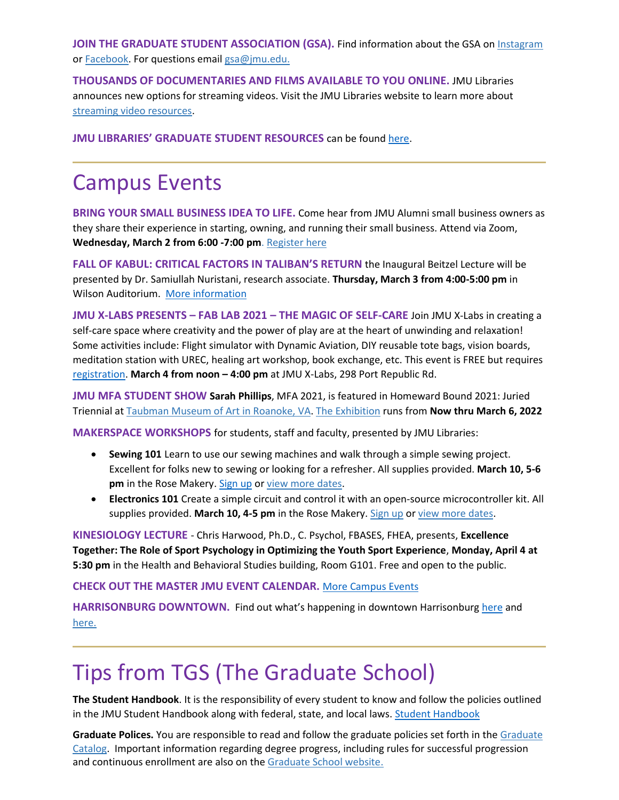**JOIN THE GRADUATE STUDENT ASSOCIATION (GSA).** Find information about the GSA on [Instagram](https://www.instagram.com/jmu_gsa/) or **Facebook**. For questions email [gsa@jmu.edu.](mailto:gsa@jmu.edu)

**THOUSANDS OF DOCUMENTARIES AND FILMS AVAILABLE TO YOU ONLINE.** JMU Libraries announces new options for streaming videos. Visit the JMU Libraries website to learn more about [streaming video resources.](https://guides.lib.jmu.edu/az.php?t=24588&utm_source=staff-monthly&utm_medium=email&utm_campaign=2021_01_06&utm_content=text_additional-streaming-video-resources)

**JMU LIBRARIES' GRADUATE STUDENT RESOURCES** can be found [here.](file:///C:/Users/stolofml/AppData/Local/Microsoft/Windows/INetCache/Content.Outlook/D73SMSKA/THRIVE%20is%20a%20Graduate%20School-supported%20student%20organization%20that%20serves%20graduate%20students%20as%20they%20work%20toward%20their%20higher-level%20degrees)

### Campus Events

**BRING YOUR SMALL BUSINESS IDEA TO LIFE.** Come hear from JMU Alumni small business owners as they share their experience in starting, owning, and running their small business. Attend via Zoom, **Wednesday, March 2 from 6:00 -7:00 pm**. [Register here](https://jmu.joinhandshake.com/events/952774/share_preview)

**FALL OF KABUL: CRITICAL FACTORS IN TALIBAN'S RETURN** the Inaugural Beitzel Lecture will be presented by Dr. Samiullah Nuristani, research associate. **Thursday, March 3 from 4:00-5:00 pm** in Wilson Auditorium. [More information](https://www.jmu.edu/gandhicenter/beitzellecture.shtml)

**JMU X-LABS PRESENTS – FAB LAB 2021 – THE MAGIC OF SELF-CARE** Join JMU X-Labs in creating a self-care space where creativity and the power of play are at the heart of unwinding and relaxation! Some activities include: Flight simulator with Dynamic Aviation, DIY reusable tote bags, vision boards, meditation station with UREC, healing art workshop, book exchange, etc. This event is FREE but requires [registration.](https://www.eventbrite.com/e/fab-lab-2022-tickets-265967866047) **March 4 from noon – 4:00 pm** at JMU X-Labs, 298 Port Republic Rd.

**JMU MFA STUDENT SHOW Sarah Phillips**, MFA 2021, is featured in Homeward Bound 2021: Juried Triennial at [Taubman Museum of Art](https://www.taubmanmuseum.org/calendar/12493/homeward-bound-2021-juried-triennial) in Roanoke, VA. The Exhibition runs from **Now thru March 6, 2022**

**MAKERSPACE WORKSHOPS** for students, staff and faculty, presented by JMU Libraries:

- **Sewing 101** Learn to use our sewing machines and walk through a simple sewing project. Excellent for folks new to sewing or looking for a refresher. All supplies provided. **March 10, 5-6 pm** in the Rose Makery. [Sign up](https://events.lib.jmu.edu/event/8551609) or [view more dates.](https://www.lib.jmu.edu/makerspace-workshops/#sewing)
- **Electronics 101** Create a simple circuit and control it with an open-source microcontroller kit. All supplies provided. **March 10, 4-5 pm** in the Rose Makery. [Sign up](https://events.lib.jmu.edu/event/8652816) o[r view more dates.](https://www.lib.jmu.edu/makerspace-workshops/#sewing)

**KINESIOLOGY LECTURE** - Chris Harwood, Ph.D., C. Psychol, FBASES, FHEA, presents, **Excellence Together: The Role of Sport Psychology in Optimizing the Youth Sport Experience**, **Monday, April 4 at 5:30 pm** in the Health and Behavioral Studies building, Room G101. Free and open to the public.

#### **CHECK OUT THE MASTER JMU EVENT CALENDAR.** [More Campus Events](https://ems.jmu.edu/MasterCalendar/MasterCalendar.aspx?_ga=2.261279492.802742690.1601384782-920476218.1518451077)

**HARRISONBURG DOWNTOWN.** Find out what's happening in downtown Harrisonburg [here](https://mailchi.mp/harrisonburgva/downtown-insider?e=1f4d635f6f) and [here.](https://www.visitharrisonburgva.com/calendar-of-events/)

## Tips from TGS (The Graduate School)

**The Student Handbook**. It is the responsibility of every student to know and follow the policies outlined in the JMU Student Handbook along with federal, state, and local laws[. Student Handbook](https://www.jmu.edu/osarp/handbook/index.shtml)

**Graduate Polices.** You are responsible to read and follow the graduate policies set forth in the [Graduate](http://jmu.edu/catalog)  [Catalog.](http://jmu.edu/catalog) Important information regarding degree progress, including rules for successful progression and continuous enrollment are also on the [Graduate School website.](https://www.jmu.edu/grad/current-students/degree-progress/index.shtml)